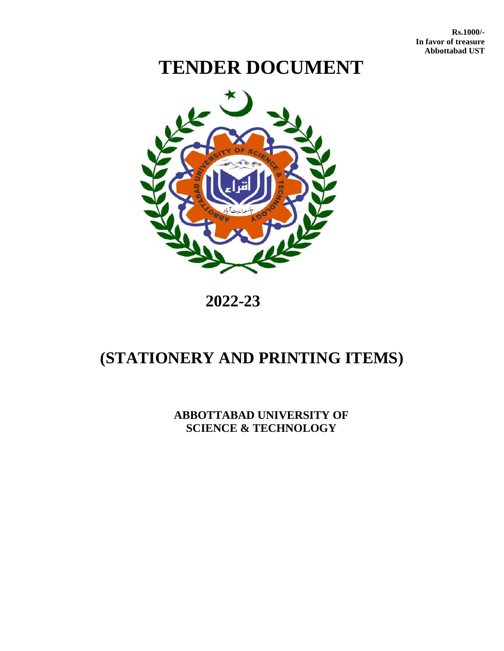**Rs.1000/- In favor of treasure Abbottabad UST** 

# **TENDER DOCUMENT**



## **2022-23**

## **(STATIONERY AND PRINTING ITEMS)**

**ABBOTTABAD UNIVERSITY OF SCIENCE & TECHNOLOGY**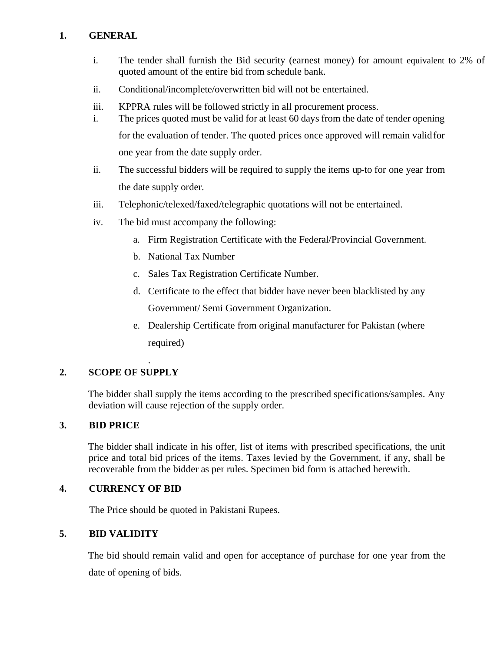#### **1. GENERAL**

- i. The tender shall furnish the Bid security (earnest money) for amount equivalent to 2% of quoted amount of the entire bid from schedule bank.
- ii. Conditional/incomplete/overwritten bid will not be entertained.
- iii. KPPRA rules will be followed strictly in all procurement process.
- i. The prices quoted must be valid for at least 60 days from the date of tender opening for the evaluation of tender. The quoted prices once approved will remain validfor one year from the date supply order.
- ii. The successful bidders will be required to supply the items up-to for one year from the date supply order.
- iii. Telephonic/telexed/faxed/telegraphic quotations will not be entertained.
- iv. The bid must accompany the following:
	- a. Firm Registration Certificate with the Federal/Provincial Government.
	- b. National Tax Number
	- c. Sales Tax Registration Certificate Number.
	- d. Certificate to the effect that bidder have never been blacklisted by any Government/ Semi Government Organization.
	- e. Dealership Certificate from original manufacturer for Pakistan (where required)

## **2. SCOPE OF SUPPLY**

.

The bidder shall supply the items according to the prescribed specifications/samples. Any deviation will cause rejection of the supply order.

## **3. BID PRICE**

The bidder shall indicate in his offer, list of items with prescribed specifications, the unit price and total bid prices of the items. Taxes levied by the Government, if any, shall be recoverable from the bidder as per rules. Specimen bid form is attached herewith.

#### **4. CURRENCY OF BID**

The Price should be quoted in Pakistani Rupees.

## **5. BID VALIDITY**

The bid should remain valid and open for acceptance of purchase for one year from the date of opening of bids.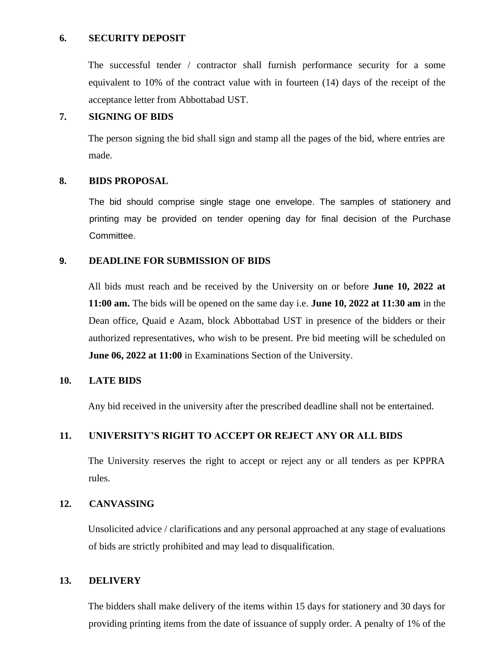#### **6. SECURITY DEPOSIT**

The successful tender / contractor shall furnish performance security for a some equivalent to 10% of the contract value with in fourteen (14) days of the receipt of the acceptance letter from Abbottabad UST.

#### **7. SIGNING OF BIDS**

The person signing the bid shall sign and stamp all the pages of the bid, where entries are made.

#### **8. BIDS PROPOSAL**

The bid should comprise single stage one envelope. The samples of stationery and printing may be provided on tender opening day for final decision of the Purchase Committee.

#### **9. DEADLINE FOR SUBMISSION OF BIDS**

All bids must reach and be received by the University on or before **June 10, 2022 at 11:00 am.** The bids will be opened on the same day i.e. **June 10, 2022 at 11:30 am** in the Dean office, Quaid e Azam, block Abbottabad UST in presence of the bidders or their authorized representatives, who wish to be present. Pre bid meeting will be scheduled on **June 06, 2022 at 11:00** in Examinations Section of the University.

#### **10. LATE BIDS**

Any bid received in the university after the prescribed deadline shall not be entertained.

#### **11. UNIVERSITY'S RIGHT TO ACCEPT OR REJECT ANY OR ALL BIDS**

The University reserves the right to accept or reject any or all tenders as per KPPRA rules.

#### **12. CANVASSING**

Unsolicited advice / clarifications and any personal approached at any stage of evaluations of bids are strictly prohibited and may lead to disqualification.

#### **13. DELIVERY**

The bidders shall make delivery of the items within 15 days for stationery and 30 days for providing printing items from the date of issuance of supply order. A penalty of 1% of the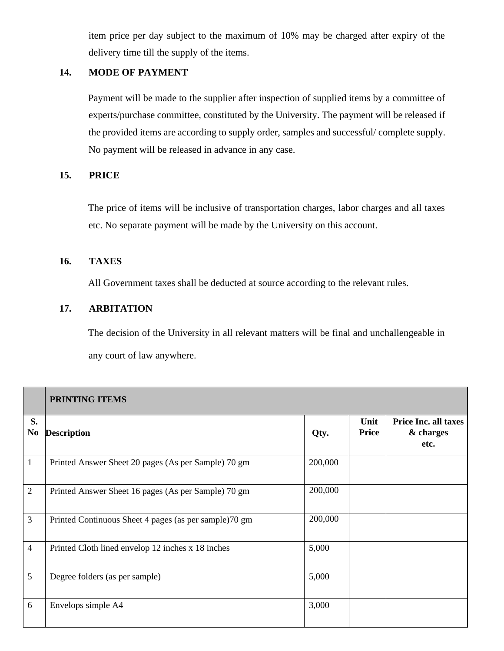item price per day subject to the maximum of 10% may be charged after expiry of the delivery time till the supply of the items.

#### **14. MODE OF PAYMENT**

Payment will be made to the supplier after inspection of supplied items by a committee of experts/purchase committee, constituted by the University. The payment will be released if the provided items are according to supply order, samples and successful/ complete supply. No payment will be released in advance in any case.

#### **15. PRICE**

The price of items will be inclusive of transportation charges, labor charges and all taxes etc. No separate payment will be made by the University on this account.

#### **16. TAXES**

All Government taxes shall be deducted at source according to the relevant rules.

## **17. ARBITATION**

The decision of the University in all relevant matters will be final and unchallengeable in any court of law anywhere.

|                      | <b>PRINTING ITEMS</b>                                 |         |                      |                                                  |
|----------------------|-------------------------------------------------------|---------|----------------------|--------------------------------------------------|
| S.<br>N <sub>0</sub> | <b>Description</b>                                    | Qty.    | Unit<br><b>Price</b> | <b>Price Inc. all taxes</b><br>& charges<br>etc. |
| $\mathbf{1}$         | Printed Answer Sheet 20 pages (As per Sample) 70 gm   | 200,000 |                      |                                                  |
| $\overline{2}$       | Printed Answer Sheet 16 pages (As per Sample) 70 gm   | 200,000 |                      |                                                  |
| 3                    | Printed Continuous Sheet 4 pages (as per sample)70 gm | 200,000 |                      |                                                  |
| $\overline{4}$       | Printed Cloth lined envelop 12 inches x 18 inches     | 5,000   |                      |                                                  |
| 5                    | Degree folders (as per sample)                        | 5,000   |                      |                                                  |
| 6                    | Envelops simple A4                                    | 3,000   |                      |                                                  |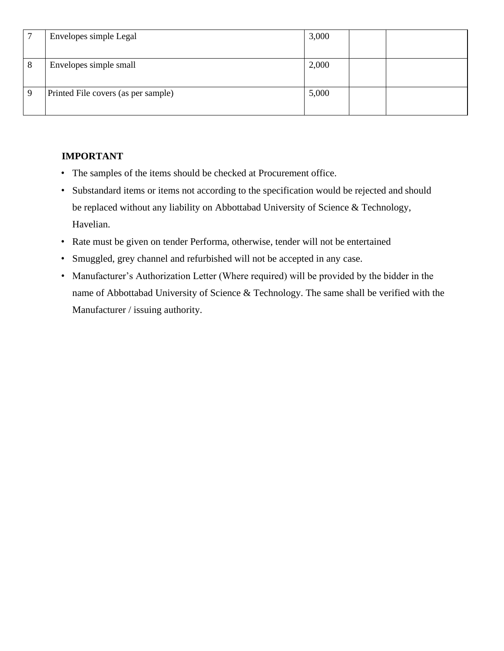|   | Envelopes simple Legal              | 3,000 |  |
|---|-------------------------------------|-------|--|
| 8 | Envelopes simple small              | 2,000 |  |
|   | Printed File covers (as per sample) | 5,000 |  |

## **IMPORTANT**

- The samples of the items should be checked at Procurement office.
- Substandard items or items not according to the specification would be rejected and should be replaced without any liability on Abbottabad University of Science & Technology, Havelian.
- Rate must be given on tender Performa, otherwise, tender will not be entertained
- Smuggled, grey channel and refurbished will not be accepted in any case.
- Manufacturer's Authorization Letter (Where required) will be provided by the bidder in the name of Abbottabad University of Science & Technology. The same shall be verified with the Manufacturer / issuing authority.